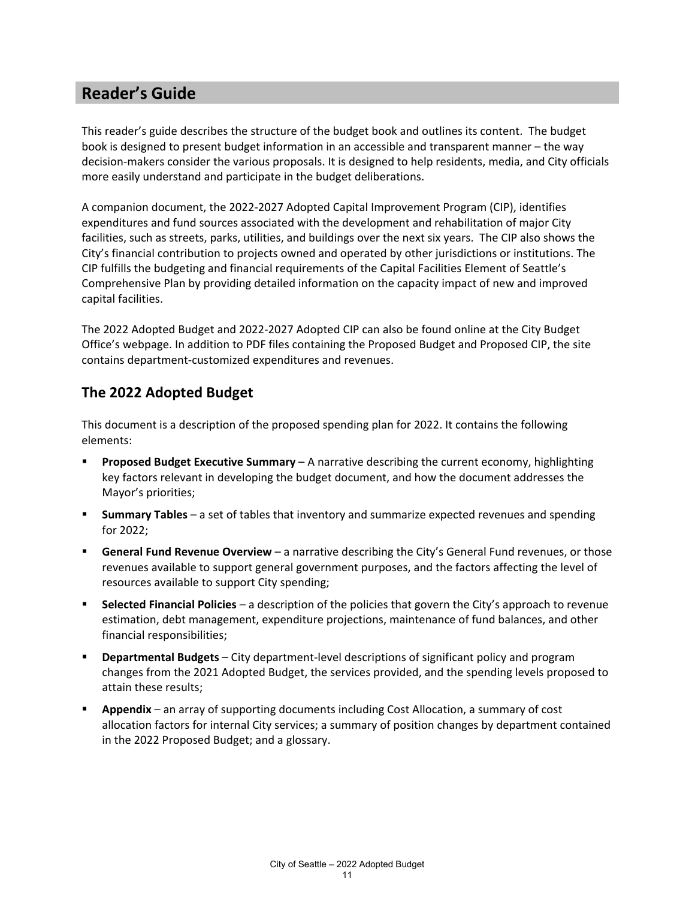## **Reader's Guide**

This reader's guide describes the structure of the budget book and outlines its content. The budget book is designed to present budget information in an accessible and transparent manner – the way decision-makers consider the various proposals. It is designed to help residents, media, and City officials more easily understand and participate in the budget deliberations.

A companion document, the 2022-2027 Adopted Capital Improvement Program (CIP), identifies expenditures and fund sources associated with the development and rehabilitation of major City facilities, such as streets, parks, utilities, and buildings over the next six years. The CIP also shows the City's financial contribution to projects owned and operated by other jurisdictions or institutions. The CIP fulfills the budgeting and financial requirements of the Capital Facilities Element of Seattle's Comprehensive Plan by providing detailed information on the capacity impact of new and improved capital facilities.

The 2022 Adopted Budget and 2022-2027 Adopted CIP can also be found online at the City Budget Office's webpage. In addition to PDF files containing the Proposed Budget and Proposed CIP, the site contains department-customized expenditures and revenues.

#### **The 2022 Adopted Budget**

This document is a description of the proposed spending plan for 2022. It contains the following elements:

- **Proposed Budget Executive Summary** A narrative describing the current economy, highlighting key factors relevant in developing the budget document, and how the document addresses the Mayor's priorities;
- **Summary Tables** a set of tables that inventory and summarize expected revenues and spending for 2022;
- **General Fund Revenue Overview** a narrative describing the City's General Fund revenues, or those revenues available to support general government purposes, and the factors affecting the level of resources available to support City spending;
- **Selected Financial Policies** a description of the policies that govern the City's approach to revenue estimation, debt management, expenditure projections, maintenance of fund balances, and other financial responsibilities;
- **Departmental Budgets** City department-level descriptions of significant policy and program changes from the 2021 Adopted Budget, the services provided, and the spending levels proposed to attain these results;
- **Appendix** an array of supporting documents including Cost Allocation, a summary of cost allocation factors for internal City services; a summary of position changes by department contained in the 2022 Proposed Budget; and a glossary.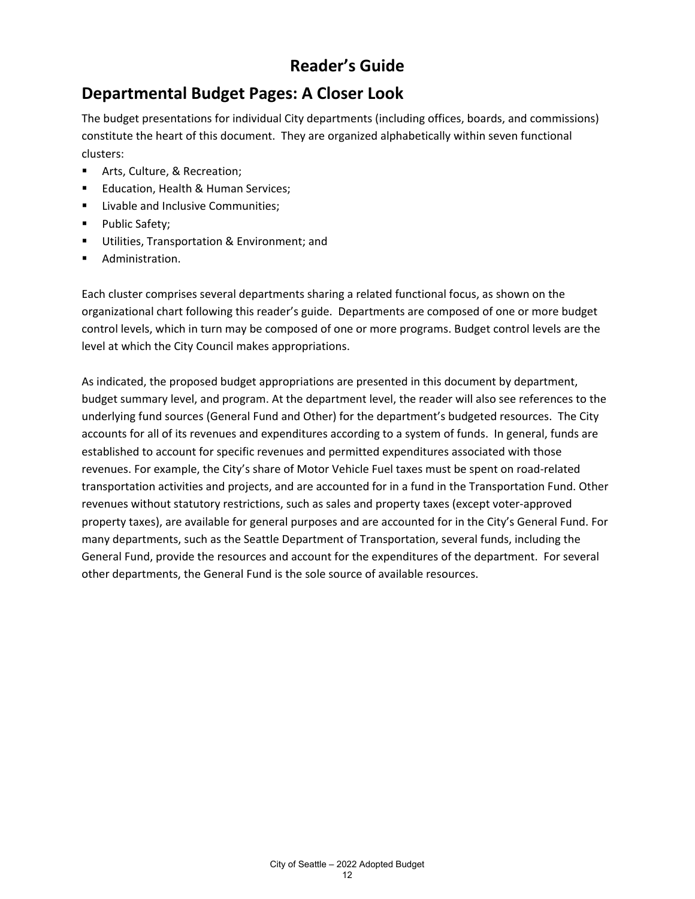# **Reader's Guide**

## **Departmental Budget Pages: A Closer Look**

The budget presentations for individual City departments (including offices, boards, and commissions) constitute the heart of this document. They are organized alphabetically within seven functional clusters:

- **F** Arts, Culture, & Recreation;
- **Education, Health & Human Services;**
- **EXECUTE:** Livable and Inclusive Communities;
- Public Safety;
- **Utilities, Transportation & Environment; and**
- Administration.

Each cluster comprises several departments sharing a related functional focus, as shown on the organizational chart following this reader's guide. Departments are composed of one or more budget control levels, which in turn may be composed of one or more programs. Budget control levels are the level at which the City Council makes appropriations.

As indicated, the proposed budget appropriations are presented in this document by department, budget summary level, and program. At the department level, the reader will also see references to the underlying fund sources (General Fund and Other) for the department's budgeted resources. The City accounts for all of its revenues and expenditures according to a system of funds. In general, funds are established to account for specific revenues and permitted expenditures associated with those revenues. For example, the City's share of Motor Vehicle Fuel taxes must be spent on road-related transportation activities and projects, and are accounted for in a fund in the Transportation Fund. Other revenues without statutory restrictions, such as sales and property taxes (except voter-approved property taxes), are available for general purposes and are accounted for in the City's General Fund. For many departments, such as the Seattle Department of Transportation, several funds, including the General Fund, provide the resources and account for the expenditures of the department. For several other departments, the General Fund is the sole source of available resources.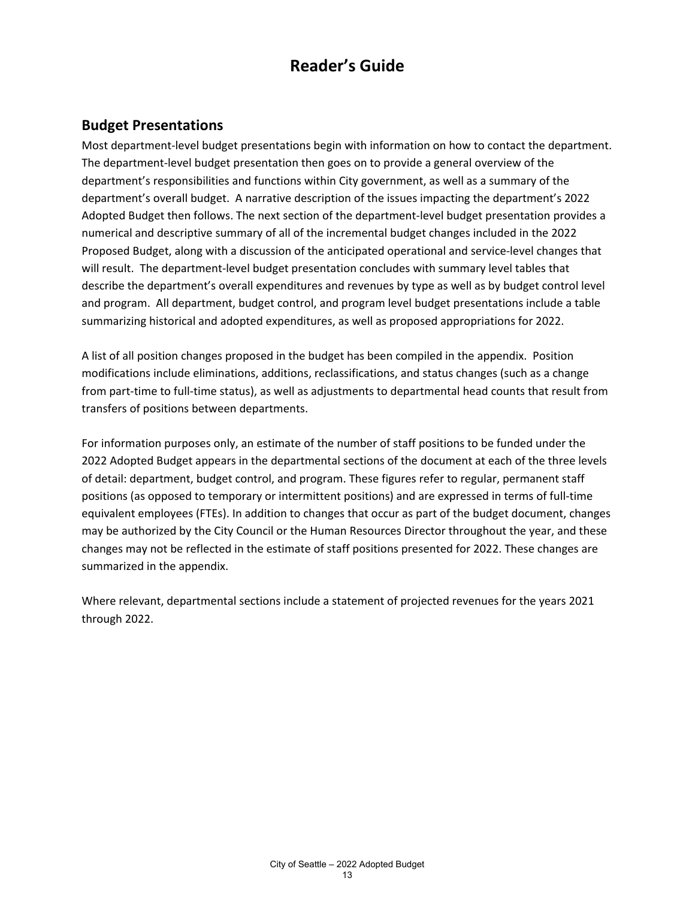## **Reader's Guide**

#### **Budget Presentations**

Most department-level budget presentations begin with information on how to contact the department. The department-level budget presentation then goes on to provide a general overview of the department's responsibilities and functions within City government, as well as a summary of the department's overall budget. A narrative description of the issues impacting the department's 2022 Adopted Budget then follows. The next section of the department-level budget presentation provides a numerical and descriptive summary of all of the incremental budget changes included in the 2022 Proposed Budget, along with a discussion of the anticipated operational and service-level changes that will result. The department-level budget presentation concludes with summary level tables that describe the department's overall expenditures and revenues by type as well as by budget control level and program. All department, budget control, and program level budget presentations include a table summarizing historical and adopted expenditures, as well as proposed appropriations for 2022.

A list of all position changes proposed in the budget has been compiled in the appendix. Position modifications include eliminations, additions, reclassifications, and status changes (such as a change from part-time to full-time status), as well as adjustments to departmental head counts that result from transfers of positions between departments.

For information purposes only, an estimate of the number of staff positions to be funded under the 2022 Adopted Budget appears in the departmental sections of the document at each of the three levels of detail: department, budget control, and program. These figures refer to regular, permanent staff positions (as opposed to temporary or intermittent positions) and are expressed in terms of full-time equivalent employees (FTEs). In addition to changes that occur as part of the budget document, changes may be authorized by the City Council or the Human Resources Director throughout the year, and these changes may not be reflected in the estimate of staff positions presented for 2022. These changes are summarized in the appendix.

Where relevant, departmental sections include a statement of projected revenues for the years 2021 through 2022.